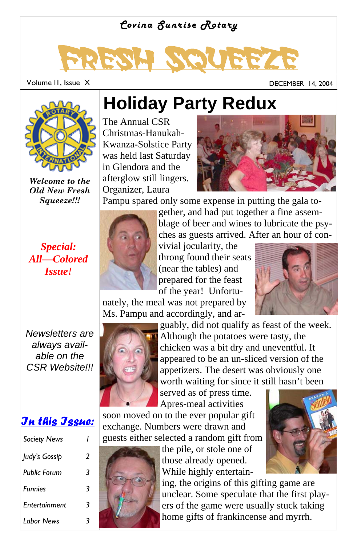### *Covina Sunrise Rotary*

# Fresh Squeeze

Volume II, Issue X and Contact Contact Contact Contact Contact Contact DeCEMBER 14, 2004



*Welcome to the Old New Fresh Squeeze!!!*

#### *Special: All—Colored Issue!*

### **Holiday Party Redux**

The Annual CSR Christmas-Hanukah-Kwanza-Solstice Party was held last Saturday in Glendora and the afterglow still lingers. Organizer, Laura



Pampu spared only some expense in putting the gala to-



gether, and had put together a fine assemblage of beer and wines to lubricate the psyches as guests arrived. After an hour of con-

vivial jocularity, the throng found their seats (near the tables) and prepared for the feast of the year! Unfortu-

nately, the meal was not prepared by Ms. Pampu and accordingly, and ar-





*Newsletters are always available on the CSR Website!!!* 

### *In this Issue:*

| <b>Society News</b> |   |
|---------------------|---|
| Judy's Gossip       | 2 |
| <b>Public Forum</b> | 3 |
| <b>Funnies</b>      | 3 |
| Entertainment       | 3 |
| <b>Labor News</b>   | ₹ |



guably, did not qualify as feast of the week. Although the potatoes were tasty, the chicken was a bit dry and uneventful. It appeared to be an un-sliced version of the appetizers. The desert was obviously one worth waiting for since it still hasn't been

served as of press time. Apres-meal activities

soon moved on to the ever popular gift exchange. Numbers were drawn and guests either selected a random gift from



the pile, or stole one of those already opened. While highly entertain-

ing, the origins of this gifting game are unclear. Some speculate that the first players of the game were usually stuck taking home gifts of frankincense and myrrh.

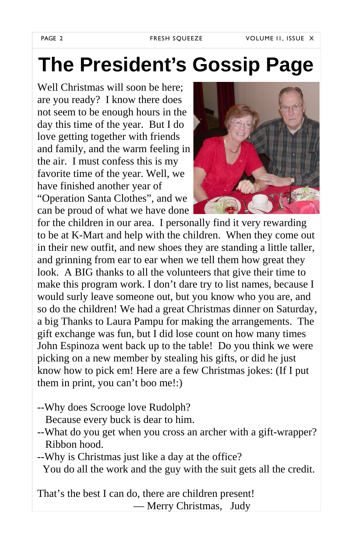## **The President's Gossip Page**

Well Christmas will soon be here; are you ready? I know there does not seem to be enough hours in the day this time of the year. But I do love getting together with friends and family, and the warm feeling in the air. I must confess this is my favorite time of the year. Well, we have finished another year of "Operation Santa Clothes", and we can be proud of what we have done



for the children in our area. I personally find it very rewarding to be at K-Mart and help with the children. When they come out in their new outfit, and new shoes they are standing a little taller, and grinning from ear to ear when we tell them how great they look. A BIG thanks to all the volunteers that give their time to make this program work. I don't dare try to list names, because I would surly leave someone out, but you know who you are, and so do the children! We had a great Christmas dinner on Saturday, a big Thanks to Laura Pampu for making the arrangements. The gift exchange was fun, but I did lose count on how many times John Espinoza went back up to the table! Do you think we were picking on a new member by stealing his gifts, or did he just know how to pick em! Here are a few Christmas jokes: (If I put them in print, you can't boo me!:)

- --Why does Scrooge love Rudolph?
	- Because every buck is dear to him.
- --What do you get when you cross an archer with a gift-wrapper? Ribbon hood.
- --Why is Christmas just like a day at the office? You do all the work and the guy with the suit gets all the credit.

That's the best I can do, there are children present! — Merry Christmas, Judy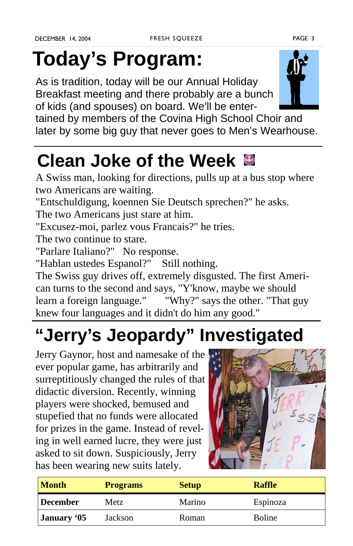## **Today's Program:**

As is tradition, today will be our Annual Holiday Breakfast meeting and there probably are a bunch of kids (and spouses) on board. We'll be enter-



tained by members of the Covina High School Choir and later by some big guy that never goes to Men's Wearhouse.

### **Clean Joke of the Week**

A Swiss man, looking for directions, pulls up at a bus stop where two Americans are waiting.

"Entschuldigung, koennen Sie Deutsch sprechen?" he asks.

The two Americans just stare at him.

"Excusez-moi, parlez vous Francais?" he tries.

The two continue to stare.

"Parlare Italiano?" No response.

"Hablan ustedes Espanol?" Still nothing.

The Swiss guy drives off, extremely disgusted. The first American turns to the second and says, "Y'know, maybe we should learn a foreign language." "Why?" says the other. "That guy knew four languages and it didn't do him any good."

## **"Jerry's Jeopardy" Investigated**

Jerry Gaynor, host and namesake of the ever popular game, has arbitrarily and surreptitiously changed the rules of that didactic diversion. Recently, winning players were shocked, bemused and stupefied that no funds were allocated for prizes in the game. Instead of reveling in well earned lucre, they were just asked to sit down. Suspiciously, Jerry has been wearing new suits lately.



| <b>Month</b> | <b>Programs</b> | <b>Setup</b> | <b>Raffle</b> |
|--------------|-----------------|--------------|---------------|
| December     | Metz            | Marino       | Espinoza      |
| January '05  | Jackson         | Roman        | <b>Boline</b> |